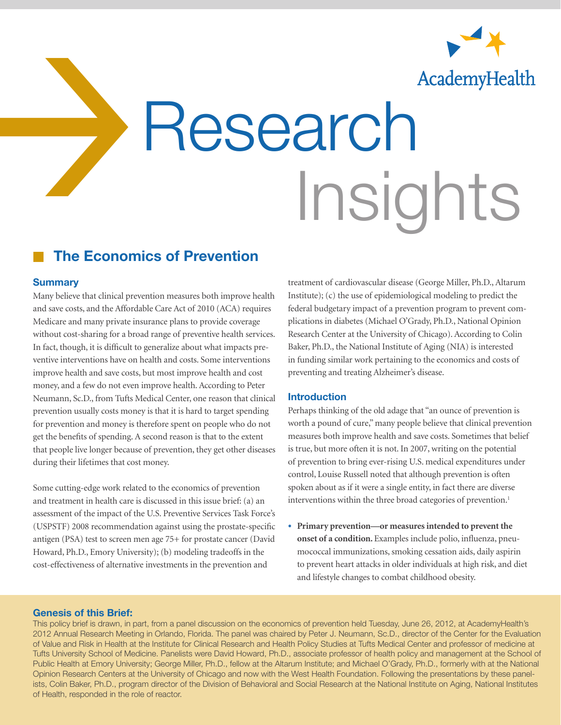

# Research<br>Research Insights

# The Economics of Prevention

#### **Summary**

Many believe that clinical prevention measures both improve health and save costs, and the Affordable Care Act of 2010 (ACA) requires Medicare and many private insurance plans to provide coverage without cost-sharing for a broad range of preventive health services. In fact, though, it is difficult to generalize about what impacts preventive interventions have on health and costs. Some interventions improve health and save costs, but most improve health and cost money, and a few do not even improve health. According to Peter Neumann, Sc.D., from Tufts Medical Center, one reason that clinical prevention usually costs money is that it is hard to target spending for prevention and money is therefore spent on people who do not get the benefits of spending. A second reason is that to the extent that people live longer because of prevention, they get other diseases during their lifetimes that cost money.

Some cutting-edge work related to the economics of prevention and treatment in health care is discussed in this issue brief: (a) an assessment of the impact of the U.S. Preventive Services Task Force's (USPSTF) 2008 recommendation against using the prostate-specific antigen (PSA) test to screen men age 75+ for prostate cancer (David Howard, Ph.D., Emory University); (b) modeling tradeoffs in the cost-effectiveness of alternative investments in the prevention and

treatment of cardiovascular disease (George Miller, Ph.D., Altarum Institute); (c) the use of epidemiological modeling to predict the federal budgetary impact of a prevention program to prevent complications in diabetes (Michael O'Grady, Ph.D., National Opinion Research Center at the University of Chicago). According to Colin Baker, Ph.D., the National Institute of Aging (NIA) is interested in funding similar work pertaining to the economics and costs of preventing and treating Alzheimer's disease.

#### Introduction

Perhaps thinking of the old adage that "an ounce of prevention is worth a pound of cure," many people believe that clinical prevention measures both improve health and save costs. Sometimes that belief is true, but more often it is not. In 2007, writing on the potential of prevention to bring ever-rising U.S. medical expenditures under control, Louise Russell noted that although prevention is often spoken about as if it were a single entity, in fact there are diverse interventions within the three broad categories of prevention.<sup>1</sup>

• **Primary prevention—or measures intended to prevent the onset of a condition.** Examples include polio, influenza, pneumococcal immunizations, smoking cessation aids, daily aspirin to prevent heart attacks in older individuals at high risk, and diet and lifestyle changes to combat childhood obesity.

#### Genesis of this Brief:

This policy brief is drawn, in part, from a panel discussion on the economics of prevention held Tuesday, June 26, 2012, at AcademyHealth's 2012 Annual Research Meeting in Orlando, Florida. The panel was chaired by Peter J. Neumann, Sc.D., director of the Center for the Evaluation of Value and Risk in Health at the Institute for Clinical Research and Health Policy Studies at Tufts Medical Center and professor of medicine at Tufts University School of Medicine. Panelists were David Howard, Ph.D., associate professor of health policy and management at the School of Public Health at Emory University; George Miller, Ph.D., fellow at the Altarum Institute; and Michael O'Grady, Ph.D., formerly with at the National Opinion Research Centers at the University of Chicago and now with the West Health Foundation. Following the presentations by these panelists, Colin Baker, Ph.D., program director of the Division of Behavioral and Social Research at the National Institute on Aging, National Institutes of Health, responded in the role of reactor.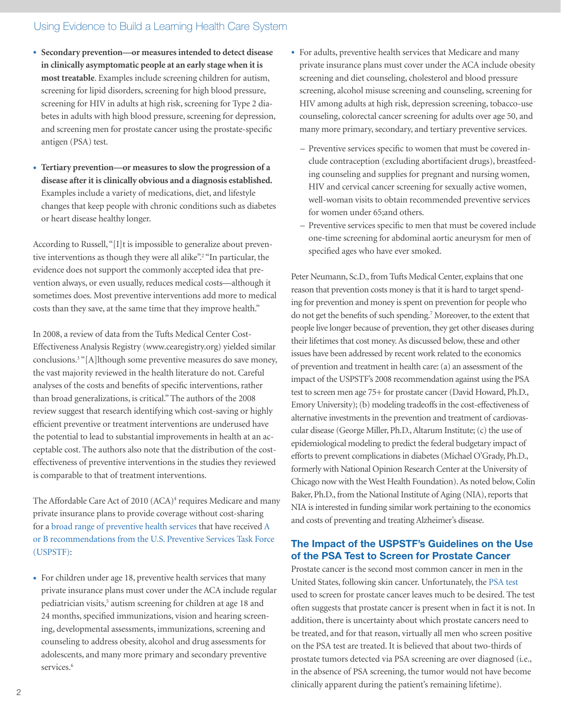- **Secondary prevention—or measures intended to detect disease in clinically asymptomatic people at an early stage when it is most treatable**. Examples include screening children for autism, screening for lipid disorders, screening for high blood pressure, screening for HIV in adults at high risk, screening for Type 2 diabetes in adults with high blood pressure, screening for depression, and screening men for prostate cancer using the prostate-specific antigen (PSA) test.
- **Tertiary prevention—or measures to slow the progression of a disease after it is clinically obvious and a diagnosis established.** Examples include a variety of medications, diet, and lifestyle changes that keep people with chronic conditions such as diabetes or heart disease healthy longer.

According to Russell, "[I]t is impossible to generalize about preventive interventions as though they were all alike".<sup>2</sup> "In particular, the evidence does not support the commonly accepted idea that prevention always, or even usually, reduces medical costs—although it sometimes does. Most preventive interventions add more to medical costs than they save, at the same time that they improve health."

In 2008, a review of data from the Tufts Medical Center Cost-Effectiveness Analysis Registry ([www.cearegistry.org\)](http://www.cearegistry.org) yielded similar conclusions.<sup>3</sup> "[A]lthough some preventive measures do save money, the vast majority reviewed in the health literature do not. Careful analyses of the costs and benefits of specific interventions, rather than broad generalizations, is critical." The authors of the 2008 review suggest that research identifying which cost-saving or highly efficient preventive or treatment interventions are underused have the potential to lead to substantial improvements in health at an acceptable cost. The authors also note that the distribution of the costeffectiveness of preventive interventions in the studies they reviewed is comparable to that of treatment interventions.

The Affordable Care Act of 2010 (ACA)<sup>4</sup> requires Medicare and many private insurance plans to provide coverage without cost-sharing for a [broad range of preventive health services](http://www.healthcare.gov/law/resources/regulations/prevention/index.html) that have received [A](http://www.uspreventiveservicestaskforce.org/uspstf/uspsabrecs.htm)  [or B recommendations from the U.S. Preventive Services Task Force](http://www.uspreventiveservicestaskforce.org/uspstf/uspsabrecs.htm)  [\(USPSTF\)](http://www.uspreventiveservicestaskforce.org/uspstf/uspsabrecs.htm):

• For children under age 18, preventive health services that many private insurance plans must cover under the ACA include regular pediatrician visits,<sup>5</sup> autism screening for children at age 18 and 24 months, specified immunizations, vision and hearing screening, developmental assessments, immunizations, screening and counseling to address obesity, alcohol and drug assessments for adolescents, and many more primary and secondary preventive services.<sup>6</sup>

- For adults, preventive health services that Medicare and many private insurance plans must cover under the ACA include obesity screening and diet counseling, cholesterol and blood pressure screening, alcohol misuse screening and counseling, screening for HIV among adults at high risk, depression screening, tobacco-use counseling, colorectal cancer screening for adults over age 50, and many more primary, secondary, and tertiary preventive services.
	- Preventive services specific to women that must be covered include contraception (excluding abortifacient drugs), breastfeeding counseling and supplies for pregnant and nursing women, HIV and cervical cancer screening for sexually active women, well-woman visits to obtain recommended preventive services for women under 65;and others.
	- Preventive services specific to men that must be covered include one-time screening for abdominal aortic aneurysm for men of specified ages who have ever smoked.

Peter Neumann, Sc.D., from Tufts Medical Center, explains that one reason that prevention costs money is that it is hard to target spending for prevention and money is spent on prevention for people who do not get the benefits of such spending.<sup>7</sup> Moreover, to the extent that people live longer because of prevention, they get other diseases during their lifetimes that cost money. As discussed below, these and other issues have been addressed by recent work related to the economics of prevention and treatment in health care: (a) an assessment of the impact of the USPSTF's 2008 recommendation against using the PSA test to screen men age 75+ for prostate cancer (David Howard, Ph.D., Emory University); (b) modeling tradeoffs in the cost-effectiveness of alternative investments in the prevention and treatment of cardiovascular disease (George Miller, Ph.D., Altarum Institute; (c) the use of epidemiological modeling to predict the federal budgetary impact of efforts to prevent complications in diabetes (Michael O'Grady, Ph.D., formerly with National Opinion Research Center at the University of Chicago now with the West Health Foundation). As noted below, Colin Baker, Ph.D., from the National Institute of Aging (NIA), reports that NIA is interested in funding similar work pertaining to the economics and costs of preventing and treating Alzheimer's disease.

## The Impact of the USPSTF's Guidelines on the Use of the PSA Test to Screen for Prostate Cancer

Prostate cancer is the second most common cancer in men in the United States, following skin cancer. Unfortunately, the [PSA test](http://www.cancer.gov/cancertopics/factsheet/detection/PSA) used to screen for prostate cancer leaves much to be desired. The test often suggests that prostate cancer is present when in fact it is not. In addition, there is uncertainty about which prostate cancers need to be treated, and for that reason, virtually all men who screen positive on the PSA test are treated. It is believed that about two-thirds of prostate tumors detected via PSA screening are over diagnosed (i.e., in the absence of PSA screening, the tumor would not have become clinically apparent during the patient's remaining lifetime).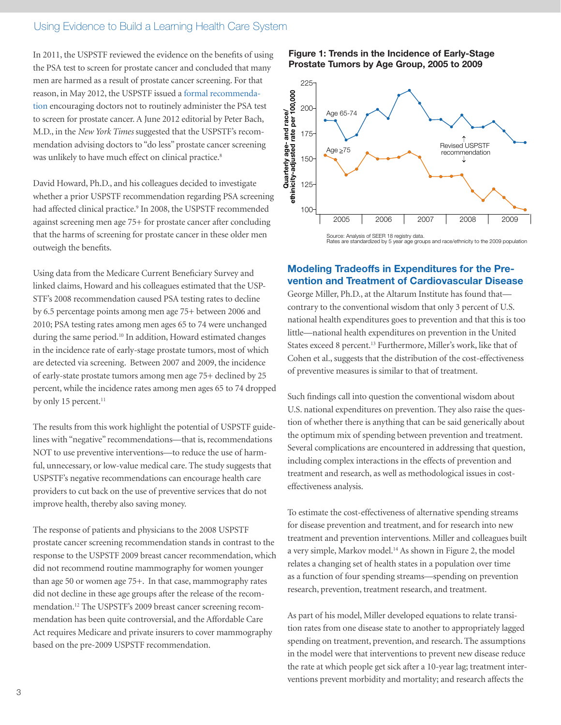In 2011, the USPSTF reviewed the evidence on the benefits of using the PSA test to screen for prostate cancer and concluded that many men are harmed as a result of prostate cancer screening. For that reason, in May 2012, the USPSTF issued a [formal recommenda](http://www.uspreventiveservicestaskforce.org/prostatecancerscreening.htm)[tion](http://www.uspreventiveservicestaskforce.org/prostatecancerscreening.htm) encouraging doctors not to routinely administer the PSA test to screen for prostate cancer. A June 2012 editorial by Peter Bach, M.D., in the *New York Times* suggested that the USPSTF's recommendation advising doctors to "do less" prostate cancer screening was unlikely to have much effect on clinical practice.<sup>8</sup>

David Howard, Ph.D., and his colleagues decided to investigate whether a prior USPSTF recommendation regarding PSA screening had affected clinical practice.<sup>9</sup> In 2008, the USPSTF recommended against screening men age 75+ for prostate cancer after concluding that the harms of screening for prostate cancer in these older men outweigh the benefits.

Using data from the Medicare Current Beneficiary Survey and linked claims, Howard and his colleagues estimated that the USP-STF's 2008 recommendation caused PSA testing rates to decline by 6.5 percentage points among men age 75+ between 2006 and 2010; PSA testing rates among men ages 65 to 74 were unchanged during the same period.10 In addition, Howard estimated changes in the incidence rate of early-stage prostate tumors, most of which are detected via screening. Between 2007 and 2009, the incidence of early-state prostate tumors among men age 75+ declined by 25 percent, while the incidence rates among men ages 65 to 74 dropped by only 15 percent.<sup>11</sup>

The results from this work highlight the potential of USPSTF guidelines with "negative" recommendations—that is, recommendations NOT to use preventive interventions—to reduce the use of harmful, unnecessary, or low-value medical care. The study suggests that USPSTF's negative recommendations can encourage health care providers to cut back on the use of preventive services that do not improve health, thereby also saving money.

The response of patients and physicians to the 2008 USPSTF prostate cancer screening recommendation stands in contrast to the response to the USPSTF 2009 breast cancer recommendation, which did not recommend routine mammography for women younger than age 50 or women age 75+. In that case, mammography rates did not decline in these age groups after the release of the recommendation.12 The USPSTF's 2009 breast cancer screening recommendation has been quite controversial, and the Affordable Care Act requires Medicare and private insurers to cover mammography based on the pre-2009 USPSTF recommendation.

#### Figure 1: Trends in the Incidence of Early-Stage Prostate Tumors by Age Group, 2005 to 2009



Source: Analysis of SEER 18 registry data. Rates are standardized by 5 year age groups and race/ethnicity to the 2009 population

#### Modeling Tradeoffs in Expenditures for the Prevention and Treatment of Cardiovascular Disease

George Miller, Ph.D., at the Altarum Institute has found that contrary to the conventional wisdom that only 3 percent of U.S. national health expenditures goes to prevention and that this is too little—national health expenditures on prevention in the United States exceed 8 percent.<sup>13</sup> Furthermore, Miller's work, like that of Cohen et al., suggests that the distribution of the cost-effectiveness of preventive measures is similar to that of treatment.

Such findings call into question the conventional wisdom about U.S. national expenditures on prevention. They also raise the question of whether there is anything that can be said generically about the optimum mix of spending between prevention and treatment. Several complications are encountered in addressing that question, including complex interactions in the effects of prevention and treatment and research, as well as methodological issues in costeffectiveness analysis.

To estimate the cost-effectiveness of alternative spending streams for disease prevention and treatment, and for research into new treatment and prevention interventions. Miller and colleagues built a very simple, Markov model.14 As shown in Figure 2, the model relates a changing set of health states in a population over time as a function of four spending streams—spending on prevention research, prevention, treatment research, and treatment.

As part of his model, Miller developed equations to relate transition rates from one disease state to another to appropriately lagged spending on treatment, prevention, and research. The assumptions in the model were that interventions to prevent new disease reduce the rate at which people get sick after a 10-year lag; treatment interventions prevent morbidity and mortality; and research affects the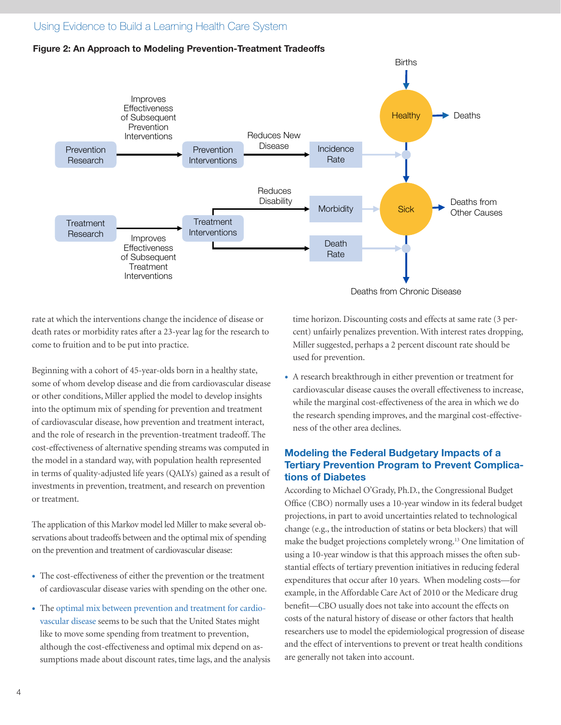#### Figure 2: An Approach to Modeling Prevention-Treatment Tradeoffs



rate at which the interventions change the incidence of disease or death rates or morbidity rates after a 23-year lag for the research to come to fruition and to be put into practice.

Beginning with a cohort of 45-year-olds born in a healthy state, some of whom develop disease and die from cardiovascular disease or other conditions, Miller applied the model to develop insights into the optimum mix of spending for prevention and treatment of cardiovascular disease, how prevention and treatment interact, and the role of research in the prevention-treatment tradeoff. The cost-effectiveness of alternative spending streams was computed in the model in a standard way, with population health represented in terms of quality-adjusted life years (QALYs) gained as a result of investments in prevention, treatment, and research on prevention or treatment.

The application of this Markov model led Miller to make several observations about tradeoffs between and the optimal mix of spending on the prevention and treatment of cardiovascular disease:

- The cost-effectiveness of either the prevention or the treatment of cardiovascular disease varies with spending on the other one.
- The [optimal mix between prevention and treatment for cardio](http://www.academyhealth.org/files/qaly%20chart.pdf)[vascular disease](http://www.academyhealth.org/files/qaly%20chart.pdf) seems to be such that the United States might like to move some spending from treatment to prevention, although the cost-effectiveness and optimal mix depend on assumptions made about discount rates, time lags, and the analysis

time horizon. Discounting costs and effects at same rate (3 percent) unfairly penalizes prevention. With interest rates dropping, Miller suggested, perhaps a 2 percent discount rate should be used for prevention.

• A research breakthrough in either prevention or treatment for cardiovascular disease causes the overall effectiveness to increase, while the marginal cost-effectiveness of the area in which we do the research spending improves, and the marginal cost-effectiveness of the other area declines.

#### Modeling the Federal Budgetary Impacts of a Tertiary Prevention Program to Prevent Complications of Diabetes

According to Michael O'Grady, Ph.D., the Congressional Budget Office (CBO) normally uses a 10-year window in its federal budget projections, in part to avoid uncertainties related to technological change (e.g., the introduction of statins or beta blockers) that will make the budget projections completely wrong.13 One limitation of using a 10-year window is that this approach misses the often substantial effects of tertiary prevention initiatives in reducing federal expenditures that occur after 10 years. When modeling costs—for example, in the Affordable Care Act of 2010 or the Medicare drug benefit—CBO usually does not take into account the effects on costs of the natural history of disease or other factors that health researchers use to model the epidemiological progression of disease and the effect of interventions to prevent or treat health conditions are generally not taken into account.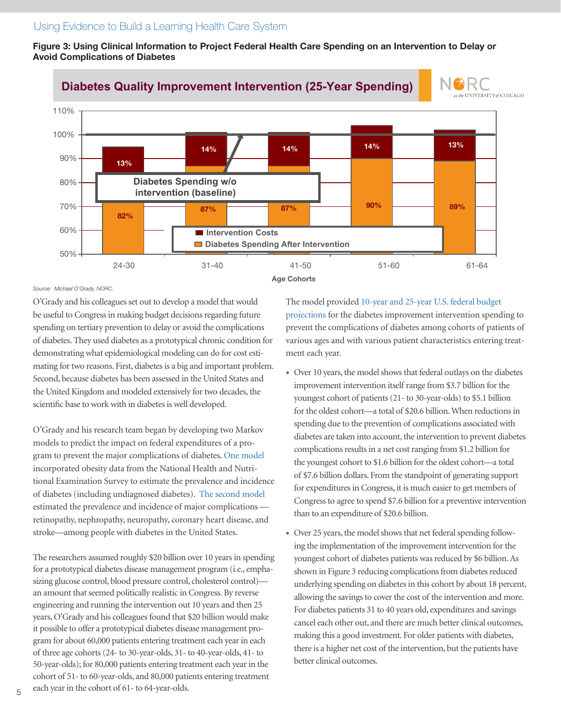Figure 3: Using Clinical Information to Project Federal Health Care Spending on an Intervention to Delay or Avoid Complications of Diabetes



#### *Source: Michael O'Grady, NORC.*

O'Grady and his colleagues set out to develop a model that would be useful to Congress in making budget decisions regarding future spending on tertiary prevention to delay or avoid the complications of diabetes. They used diabetes as a prototypical chronic condition for demonstrating what epidemiological modeling can do for cost estimating for two reasons. First, diabetes is a big and important problem. Second, because diabetes has been assessed in the United States and the United Kingdom and modeled extensively for two decades, the scientific base to work with in diabetes is well developed.

O'Grady and his research team began by developing two Markov models to predict the impact on federal expenditures of a program to prevent the major complications of diabetes. [One model](http://academyhealth.org/files/Prevalencemodeling.pdf) incorporated obesity data from the National Health and Nutritional Examination Survey to estimate the prevalence and incidence of diabetes (including undiagnosed diabetes). [The second model](http://www.academyhealth.org/files/modelingdiabetes.pdf) estimated the prevalence and incidence of major complications retinopathy, nephropathy, neuropathy, coronary heart disease, and stroke—among people with diabetes in the United States.

The researchers assumed roughly \$20 billion over 10 years in spending for a prototypical diabetes disease management program (i.e., emphasizing glucose control, blood pressure control, cholesterol control) an amount that seemed politically realistic in Congress. By reverse engineering and running the intervention out 10 years and then 25 years, O'Grady and his colleagues found that \$20 billion would make it possible to offer a prototypical diabetes disease management program for about 60,000 patients entering treatment each year in each of three age cohorts (24- to 30-year-olds, 31- to 40-year-olds, 41- to 50-year-olds); for 80,000 patients entering treatment each year in the cohort of 51- to 60-year-olds, and 80,000 patients entering treatment each year in the cohort of 61- to 64-year-olds.

The model provided 1[0-year and 25-year U.S. federal budget](http://www.academyhealth.org/files/Clinical_information.pdf)  [projections](http://www.academyhealth.org/files/Clinical_information.pdf) for the diabetes improvement intervention spending to prevent the complications of diabetes among cohorts of patients of various ages and with various patient characteristics entering treatment each year.

- Over 10 years, the model shows that federal outlays on the diabetes improvement intervention itself range from \$3.7 billion for the youngest cohort of patients (21- to 30-year-olds) to \$5.1 billion for the oldest cohort—a total of \$20.6 billion. When reductions in spending due to the prevention of complications associated with diabetes are taken into account, the intervention to prevent diabetes complications results in a net cost ranging from \$1.2 billion for the youngest cohort to \$1.6 billion for the oldest cohort—a total of \$7.6 billion dollars. From the standpoint of generating support for expenditures in Congress, it is much easier to get members of Congress to agree to spend \$7.6 billion for a preventive intervention than to an expenditure of \$20.6 billion.
- Over 25 years, the model shows that net federal spending following the implementation of the improvement intervention for the youngest cohort of diabetes patients was reduced by \$6 billion. As shown in Figure 3 reducing complications from diabetes reduced underlying spending on diabetes in this cohort by about 18 percent, allowing the savings to cover the cost of the intervention and more. For diabetes patients 31 to 40 years old, expenditures and savings cancel each other out, and there are much better clinical outcomes, making this a good investment. For older patients with diabetes, there is a higher net cost of the intervention, but the patients have better clinical outcomes.